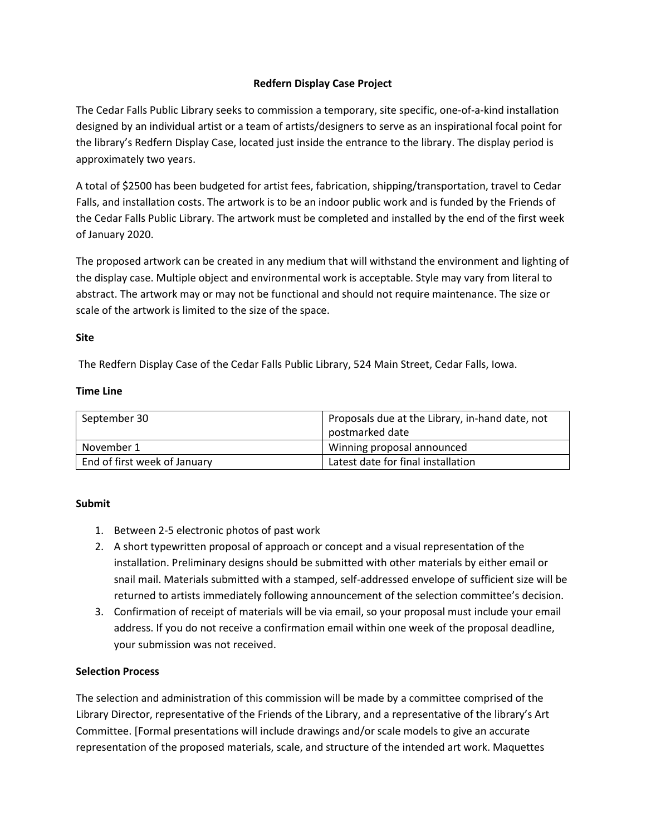# **Redfern Display Case Project**

The Cedar Falls Public Library seeks to commission a temporary, site specific, one-of-a-kind installation designed by an individual artist or a team of artists/designers to serve as an inspirational focal point for the library's Redfern Display Case, located just inside the entrance to the library. The display period is approximately two years.

A total of \$2500 has been budgeted for artist fees, fabrication, shipping/transportation, travel to Cedar Falls, and installation costs. The artwork is to be an indoor public work and is funded by the Friends of the Cedar Falls Public Library. The artwork must be completed and installed by the end of the first week of January 2020.

The proposed artwork can be created in any medium that will withstand the environment and lighting of the display case. Multiple object and environmental work is acceptable. Style may vary from literal to abstract. The artwork may or may not be functional and should not require maintenance. The size or scale of the artwork is limited to the size of the space.

### **Site**

The Redfern Display Case of the Cedar Falls Public Library, 524 Main Street, Cedar Falls, Iowa.

### **Time Line**

| September 30                 | Proposals due at the Library, in-hand date, not |
|------------------------------|-------------------------------------------------|
|                              | postmarked date                                 |
| November 1                   | Winning proposal announced                      |
| End of first week of January | Latest date for final installation              |

### **Submit**

- 1. Between 2-5 electronic photos of past work
- 2. A short typewritten proposal of approach or concept and a visual representation of the installation. Preliminary designs should be submitted with other materials by either email or snail mail. Materials submitted with a stamped, self-addressed envelope of sufficient size will be returned to artists immediately following announcement of the selection committee's decision.
- 3. Confirmation of receipt of materials will be via email, so your proposal must include your email address. If you do not receive a confirmation email within one week of the proposal deadline, your submission was not received.

### **Selection Process**

The selection and administration of this commission will be made by a committee comprised of the Library Director, representative of the Friends of the Library, and a representative of the library's Art Committee. [Formal presentations will include drawings and/or scale models to give an accurate representation of the proposed materials, scale, and structure of the intended art work. Maquettes